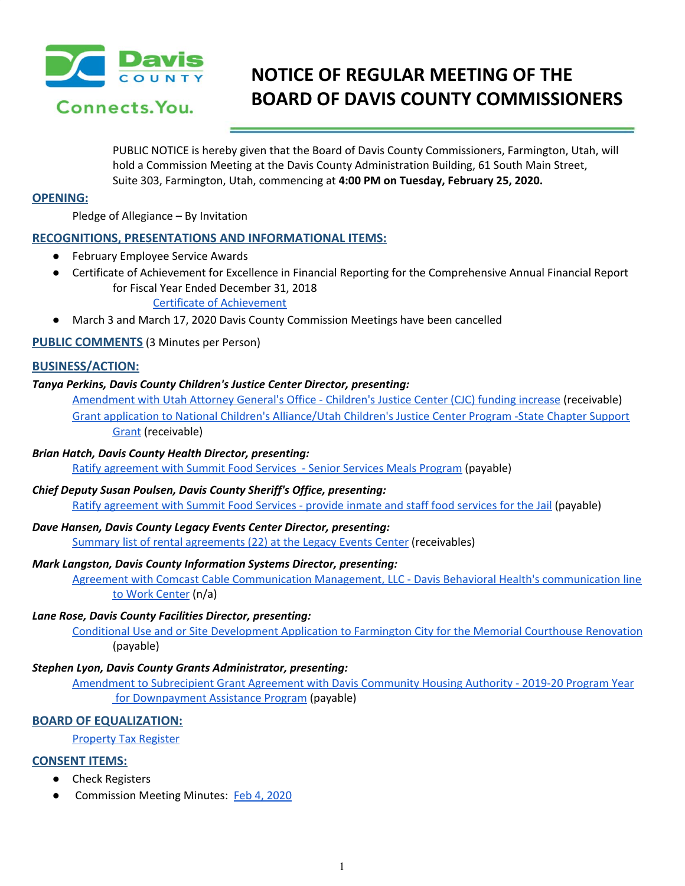

# **NOTICE OF REGULAR MEETING OF THE BOARD OF DAVIS COUNTY COMMISSIONERS**

PUBLIC NOTICE is hereby given that the Board of Davis County Commissioners, Farmington, Utah, will hold a Commission Meeting at the Davis County Administration Building, 61 South Main Street, Suite 303, Farmington, Utah, commencing at **4:00 PM on Tuesday, February 25, 2020.**

#### **OPENING:**

Pledge of Allegiance – By Invitation

## **RECOGNITIONS, PRESENTATIONS AND INFORMATIONAL ITEMS:**

- **February Employee Service Awards**
- Certificate of Achievement for Excellence in Financial Reporting for the Comprehensive Annual Financial Report for Fiscal Year Ended December 31, 2018

Certificate of [Achievement](https://drive.google.com/a/co.davis.ut.us/file/d/1MRn_1eK8zl2uPnQQwNFZ_4CFCiS335Nt/view?usp=drivesdk)

● March 3 and March 17, 2020 Davis County Commission Meetings have been cancelled

**PUBLIC COMMENTS** (3 Minutes per Person)

## **BUSINESS/ACTION:**

## *Tanya Perkins, Davis County Children's Justice Center Director, presenting:*

[Amendment](https://drive.google.com/a/co.davis.ut.us/file/d/1ArIyx3xBl3BMgvDu5QhdcMVslA213pn_/view?usp=drivesdk) with Utah Attorney General's Office - Children's Justice Center (CJC) funding increase (receivable[\)](https://drive.google.com/a/co.davis.ut.us/file/d/1ArIyx3xBl3BMgvDu5QhdcMVslA213pn_/view?usp=drivesdk) Grant application to National Children's [Alliance/Utah](https://drive.google.com/a/co.davis.ut.us/file/d/1SBtox_X9bObIQT-YDAbksByg4S-pebc7/view?usp=drivesdk) Children's Justice Center Program -State Chapter Support [Grant](https://drive.google.com/a/co.davis.ut.us/file/d/1SBtox_X9bObIQT-YDAbksByg4S-pebc7/view?usp=drivesdk) (receivable)

## *Brian Hatch, Davis County Health Director, presenting:*

Ratify [agreement](https://drive.google.com/a/co.davis.ut.us/file/d/1lIurZnX7gQXLmUObZtfC7_QojkMh78kW/view?usp=drivesdk) with Summit Food Services - Senior Services Meals Program (payable)

## *Chief Deputy Susan Poulsen, Davis County Sheriff's Office, presenting:*

Ratify [agreement](https://drive.google.com/a/co.davis.ut.us/file/d/17-9DnuvKKMaWLrxhGeCoXfdSe3NoNF6L/view?usp=drivesdk) with Summit Food Services - provide inmate and staff food services for the Jail (payable)

## *Dave Hansen, Davis County Legacy Events Center Director, presenting:*

Summary list of rental [agreements](https://drive.google.com/a/co.davis.ut.us/file/d/1AaUlpsvyta30VCqhezhzIGC6Q9zpSYAb/view?usp=drivesdk) (22) at the Legacy Events Center (receivables)

## *Mark Langston, Davis County Information Systems Director, presenting:*

Agreement with Comcast Cable [Communication](https://drive.google.com/a/co.davis.ut.us/file/d/1o8uHSWRaD1EIuBkATOD1f-OXbdlYbEAl/view?usp=drivesdk) Management, LLC - Davis Behavioral Health's communication line to Work [Center](https://drive.google.com/a/co.davis.ut.us/file/d/1o8uHSWRaD1EIuBkATOD1f-OXbdlYbEAl/view?usp=drivesdk) (n/a)

## *Lane Rose, Davis County Facilities Director, presenting:*

Conditional Use and or Site [Development](https://drive.google.com/a/co.davis.ut.us/file/d/1lFp2_kWmCMGsxtB8VpHSPoO_STk9qK_9/view?usp=drivesdk) Application to Farmington City for the Memorial Courthouse Renovation (payable)

## *Stephen Lyon, Davis County Grants Administrator, presenting:*

Amendment to [Subrecipient](https://drive.google.com/a/co.davis.ut.us/file/d/1pv6FEZlRa2MwYiyCmTCIXEAjiAQpuLPs/view?usp=drivesdk) Grant Agreement with Davis Community Housing Authority - 2019-20 Program Year for [Downpayment](https://drive.google.com/a/co.davis.ut.us/file/d/1pv6FEZlRa2MwYiyCmTCIXEAjiAQpuLPs/view?usp=drivesdk) Assistance Program (payable)

## **BOARD OF EQUALIZATION:**

[Property](https://drive.google.com/a/co.davis.ut.us/file/d/1qA_XyPFnsGT1lKGqPr7jABk8-wCA7N97/view?usp=drivesdk) Tax Register

## **CONSENT ITEMS:**

- Check Registers
- Commission Meeting Minutes: Feb 4, [2020](https://drive.google.com/a/co.davis.ut.us/file/d/13SM8DLvmLWKk8Pz8z3SuTnlC_6pHKq0y/view?usp=drivesdk)